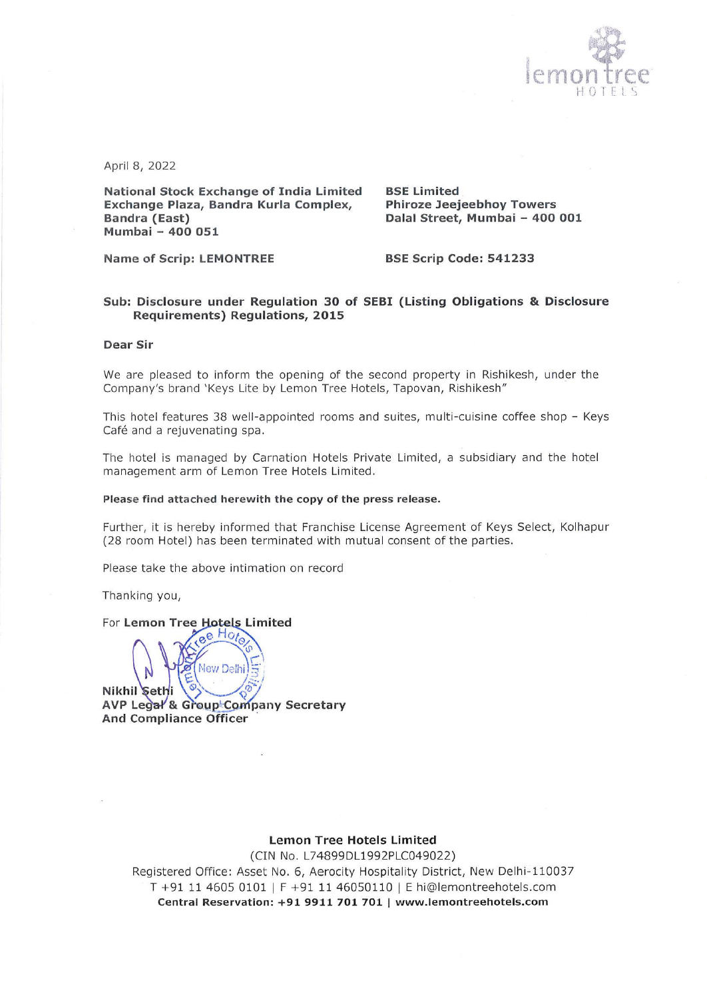

April 8, 2022

National Stock Exchange of India Limited BSE Limited Exchange Plaza, Bandra Kurla Complex, Phiroze Jeejeebhoy Towers Bandra (East) **Dalal Street, Mumbai – 400 001** Mumbai - 400 051

Name of Scrip: LEMONTREE BSE Scrip Code: 541233

#### Sub: Disclosure under Regulation 30 of SEBI (Listing Obligations & Disclosure Requirements) Regulations, 2015

#### Dear Sir

We are pleased to inform the opening of the second property in Rishikesh, under the Company's brand 'Keys Lite by Lemon Tree Hotels, Tapovan, Rishikesh"

This hotel features 38 well-appointed rooms and suites, multi-cuisine coffee shop - Keys Café and a rejuvenating spa.

The hotel is managed by Carnation Hotels Private Limited, a subsidiary and the hotel management arm of Lemon Tree Hotels Limited.

#### Please find attached herewith the copy of the press release.

Further, it is hereby informed that Franchise License Agreement of Keys Select, Kolhapur (28 room Hotel) has been terminated with mutual consent of the parties.

Please take the above intimation on record

Thanking you,

# em:<br>N tels Limite<br>tels Limite  $e^{\theta H o t}$

 AVP Le & Group'Conipany Secretary New Dalhi Nikhil Sethi And Compliance Officer

 $\overline{\phantom{0}}$ 

### Lemon Tree Hotels Limited

(CIN No. L74899DL1992PLC049022)

-11003/<br>:.com<br>**com** Registered Office: Asset No. 6, Aerocity Hospitality District, New Delhi-110037 T +91 11 4605 0101 | F +91 11 46050110 | E hi@lemontreehotels.com Central Reservation: +91 9911 701 701 | www.lemontreehotels.com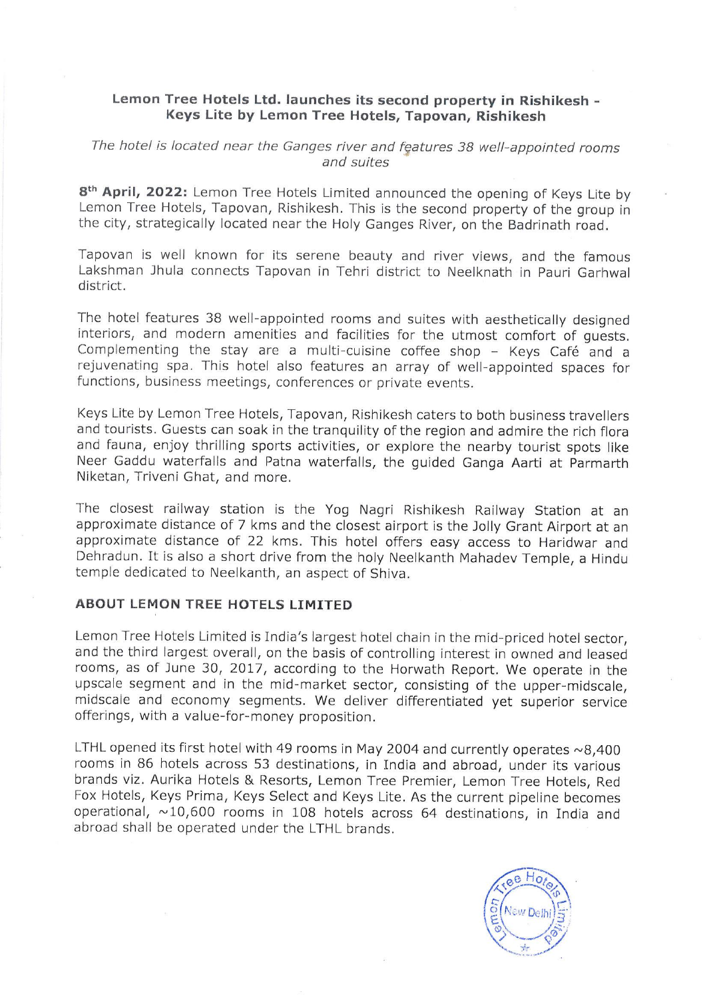# Lemon Tree Hotels Ltd. launches its second property in Rishikesh - Keys Lite by Lemon Tree Hotels, Tapovan, Rishikesh

# The hotel is located near the Ganges river and features 38 well-appointed rooms and suites

8<sup>th</sup> April, 2022: Lemon Tree Hotels Limited announced the opening of Keys Lite by Lemon Tree Hotels, Tapovan, Rishikesh. This is the second property of the group in the city, strategically located near the Holy Ganges River, on the Badrinath road.

Tapovan is well known for its serene beauty and river views, and the famous Lakshman Jhula connects Tapovan in Tehri district to Neelknath in Pauri Garhwal district.

The hotel features 38 well-appointed rooms and suites with aesthetically designed interiors, and modern amenities and facilities for the utmost comfort of guests. Complementing the stay are a multi-cuisine coffee shop - Keys Café and a rejuvenating spa. This hotel also features an array of well-appointed spaces for functions, business meetings, conferences or private events.

Keys Lite by Lemon Tree Hotels, Tapovan, Rishikesh caters to both business travellers and tourists. Guests can soak in the tranquility of the region and admire the rich flora and fauna, enjoy thrilling sports activities, or explore the nearby tourist spots like Neer Gaddu waterfalls and Patna waterfalls, the guided Ganga Aarti at Parmarth Niketan, Triveni Ghat, and more.

The closest railway station is the Yog Nagri Rishikesh Railway Station at an approximate distance of 7 kms and the closest airport is the Jolly Grant Airport at an approximate distance of 22 kms. This hotel offers easy acc temple dedicated to Neelkanth, an aspect of Shiva.

## ABOUT LEMON TREE HOTELS LIMITED

Lemon Tree Hotels Limited is India's largest hotel chain in the mid-priced hotel sector, and the third largest overall, on the basis of controlling interest in owned and leased rooms, as of June 30, 2017, according to the Horwath Report. We operate in the upscale segment and in the mid-market sector, consisting of the upper-midscale, midscale and economy segments. We deliver differentiated yet superior service offerings, with a value-for-money proposition.

LTHL opened its first hotel with 49 rooms in May 2004 and currently operates  $\sim$  8,400 rooms in 86 hotels across 53 destinations, in India and abroad, under its various brands viz. Aurika Hotels & Resorts, Lemon Tree Premier, Lemon Tree Hotels, Red Fox Hotels, Keys Prima, Keys Select and Keys Lite. As the current pipeline becomes operational, ~10,600 rooms in 108 hotels across 64 destinations, in India and abroad shall be operated under the LTHL brands.